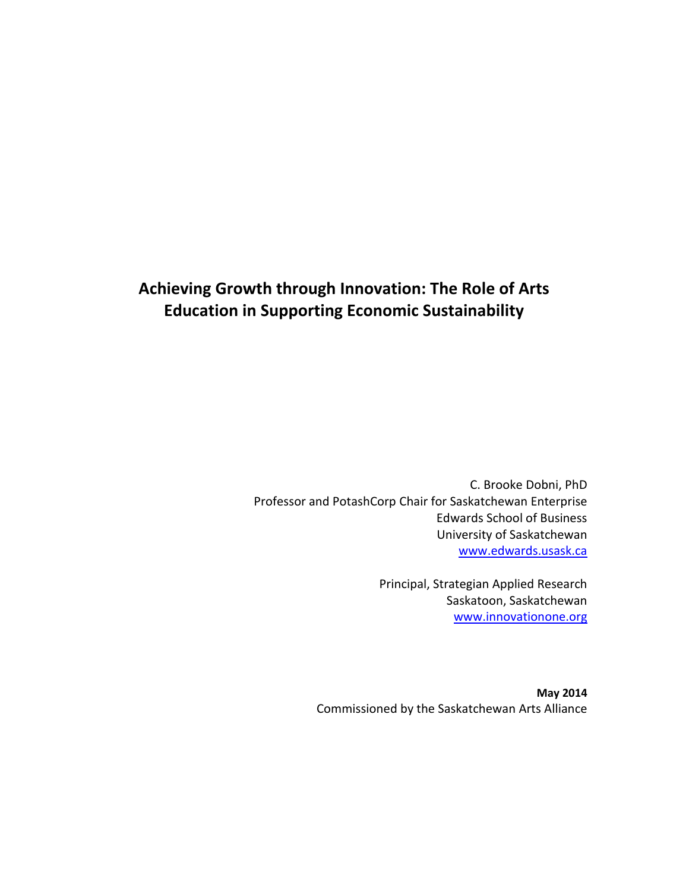# **Achieving Growth through Innovation: The Role of Arts Education in Supporting Economic Sustainability**

C. Brooke Dobni, PhD Professor and PotashCorp Chair for Saskatchewan Enterprise Edwards School of Business University of Saskatchewan [www.edwards.usask.ca](http://www.edwards.usask.ca/)

> Principal, Strategian Applied Research Saskatoon, Saskatchewan [www.innovationone.org](http://www.innovationone.org/)

**May 2014** Commissioned by the Saskatchewan Arts Alliance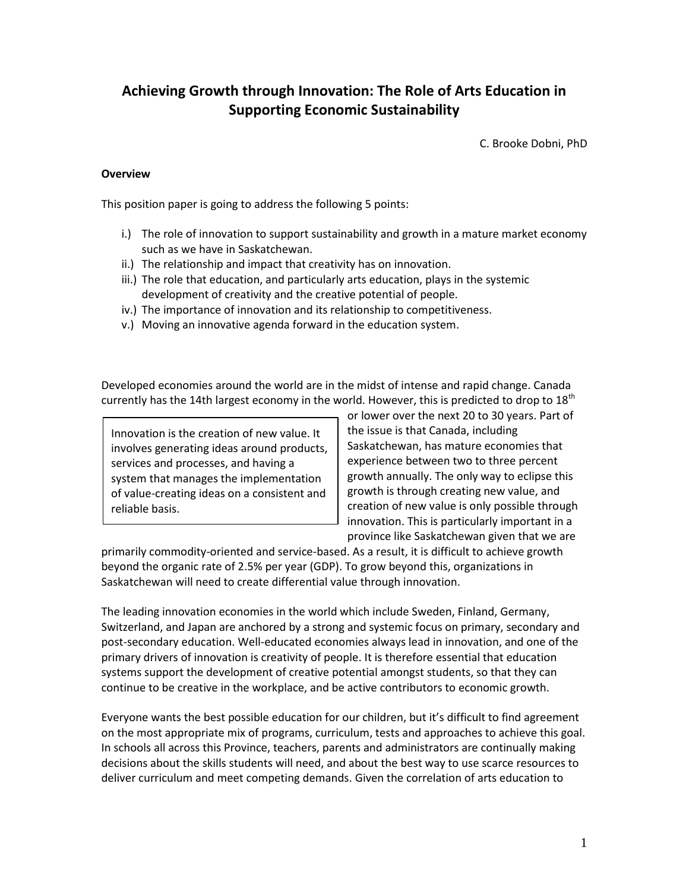# **Achieving Growth through Innovation: The Role of Arts Education in Supporting Economic Sustainability**

C. Brooke Dobni, PhD

#### **Overview**

This position paper is going to address the following 5 points:

- i.) The role of innovation to support sustainability and growth in a mature market economy such as we have in Saskatchewan.
- ii.) The relationship and impact that creativity has on innovation.
- iii.) The role that education, and particularly arts education, plays in the systemic development of creativity and the creative potential of people.
- iv.) The importance of innovation and its relationship to competitiveness.
- v.) Moving an innovative agenda forward in the education system.

Developed economies around the world are in the midst of intense and rapid change. Canada currently has the 14th largest economy in the world. However, this is predicted to drop to  $18^{\text{th}}$ 

Innovation is the creation of new value. It involves generating ideas around products, services and processes, and having a system that manages the implementation of value-creating ideas on a consistent and reliable basis.

or lower over the next 20 to 30 years. Part of the issue is that Canada, including Saskatchewan, has mature economies that experience between two to three percent growth annually. The only way to eclipse this growth is through creating new value, and creation of new value is only possible through innovation. This is particularly important in a province like Saskatchewan given that we are

primarily commodity-oriented and service-based. As a result, it is difficult to achieve growth beyond the organic rate of 2.5% per year (GDP). To grow beyond this, organizations in Saskatchewan will need to create differential value through innovation.

The leading innovation economies in the world which include Sweden, Finland, Germany, Switzerland, and Japan are anchored by a strong and systemic focus on primary, secondary and post-secondary education. Well-educated economies always lead in innovation, and one of the primary drivers of innovation is creativity of people. It is therefore essential that education systems support the development of creative potential amongst students, so that they can continue to be creative in the workplace, and be active contributors to economic growth.

Everyone wants the best possible education for our children, but it's difficult to find agreement on the most appropriate mix of programs, curriculum, tests and approaches to achieve this goal. In schools all across this Province, teachers, parents and administrators are continually making decisions about the skills students will need, and about the best way to use scarce resources to deliver curriculum and meet competing demands. Given the correlation of arts education to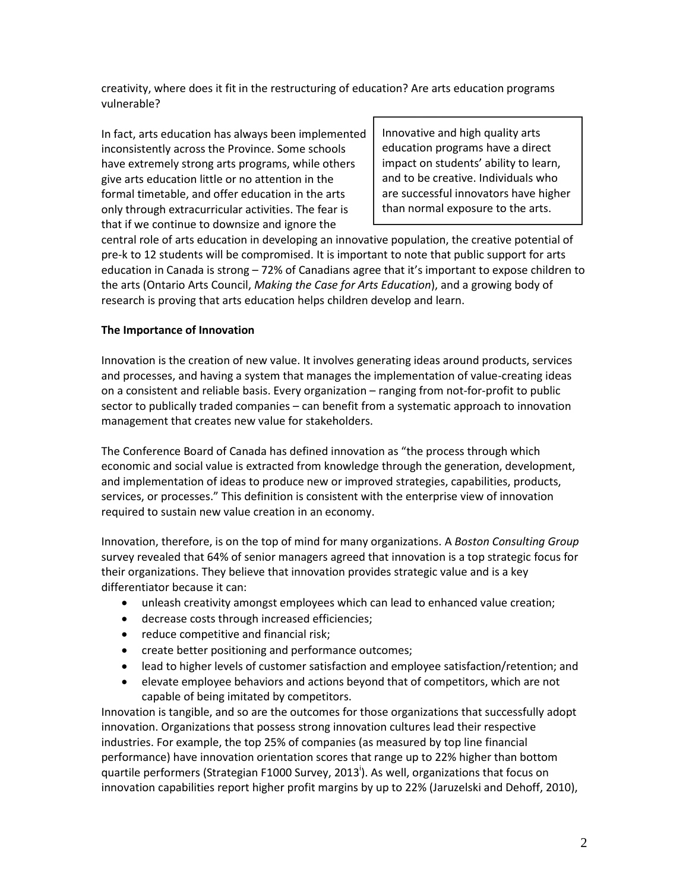creativity, where does it fit in the restructuring of education? Are arts education programs vulnerable?

In fact, arts education has always been implemented inconsistently across the Province. Some schools have extremely strong arts programs, while others give arts education little or no attention in the formal timetable, and offer education in the arts only through extracurricular activities. The fear is that if we continue to downsize and ignore the

Innovative and high quality arts education programs have a direct impact on students' ability to learn, and to be creative. Individuals who are successful innovators have higher than normal exposure to the arts.

central role of arts education in developing an innovative population, the creative potential of pre-k to 12 students will be compromised. It is important to note that public support for arts education in Canada is strong – 72% of Canadians agree that it's important to expose children to the arts (Ontario Arts Council, *Making the Case for Arts Education*), and a growing body of research is proving that arts education helps children develop and learn.

## **The Importance of Innovation**

Innovation is the creation of new value. It involves generating ideas around products, services and processes, and having a system that manages the implementation of value-creating ideas on a consistent and reliable basis. Every organization – ranging from not-for-profit to public sector to publically traded companies – can benefit from a systematic approach to innovation management that creates new value for stakeholders.

The Conference Board of Canada has defined innovation as "the process through which economic and social value is extracted from knowledge through the generation, development, and implementation of ideas to produce new or improved strategies, capabilities, products, services, or processes." This definition is consistent with the enterprise view of innovation required to sustain new value creation in an economy.

Innovation, therefore, is on the top of mind for many organizations. A *Boston Consulting Group*  survey revealed that 64% of senior managers agreed that innovation is a top strategic focus for their organizations. They believe that innovation provides strategic value and is a key differentiator because it can:

- unleash creativity amongst employees which can lead to enhanced value creation;
- decrease costs through increased efficiencies;
- reduce competitive and financial risk;
- create better positioning and performance outcomes;
- lead to higher levels of customer satisfaction and employee satisfaction/retention; and
- elevate employee behaviors and actions beyond that of competitors, which are not capable of being imitated by competitors.

Innovation is tangible, and so are the outcomes for those organizations that successfully adopt innovation. Organizations that possess strong innovation cultures lead their respective industries. For example, the top 25% of companies (as measured by top line financial performance) have innovation orientation scores that range up to 22% higher than bottom quartile performers (Strategian F1000 Survey, 2013<sup>i</sup>). As well, organizations that focus on innovation capabilities report higher profit margins by up to 22% (Jaruzelski and Dehoff, 2010),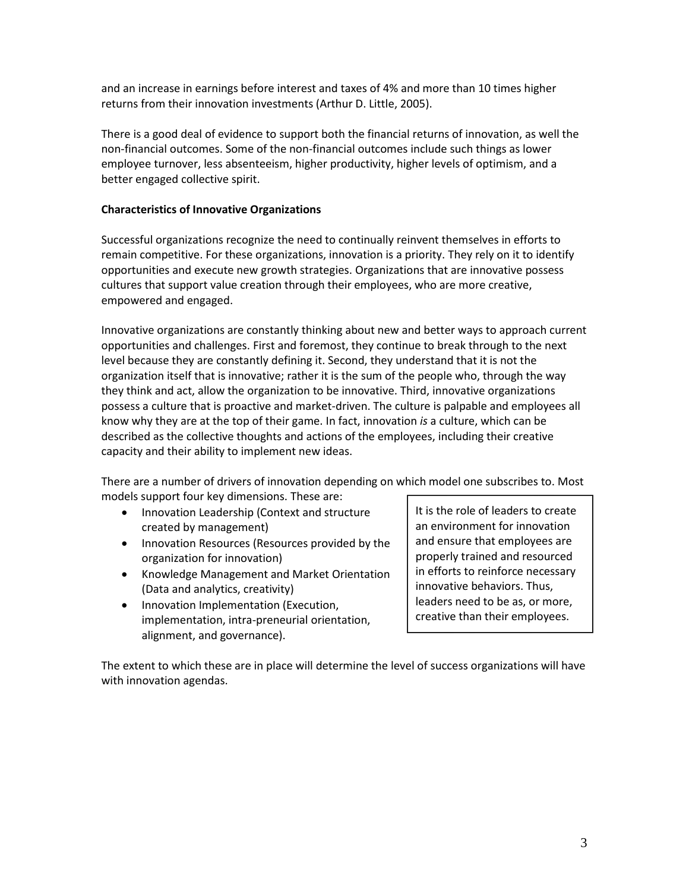and an increase in earnings before interest and taxes of 4% and more than 10 times higher returns from their innovation investments (Arthur D. Little, 2005).

There is a good deal of evidence to support both the financial returns of innovation, as well the non-financial outcomes. Some of the non-financial outcomes include such things as lower employee turnover, less absenteeism, higher productivity, higher levels of optimism, and a better engaged collective spirit.

#### **Characteristics of Innovative Organizations**

Successful organizations recognize the need to continually reinvent themselves in efforts to remain competitive. For these organizations, innovation is a priority. They rely on it to identify opportunities and execute new growth strategies. Organizations that are innovative possess cultures that support value creation through their employees, who are more creative, empowered and engaged.

Innovative organizations are constantly thinking about new and better ways to approach current opportunities and challenges. First and foremost, they continue to break through to the next level because they are constantly defining it. Second, they understand that it is not the organization itself that is innovative; rather it is the sum of the people who, through the way they think and act, allow the organization to be innovative. Third, innovative organizations possess a culture that is proactive and market-driven. The culture is palpable and employees all know why they are at the top of their game. In fact, innovation *is* a culture, which can be described as the collective thoughts and actions of the employees, including their creative capacity and their ability to implement new ideas.

There are a number of drivers of innovation depending on which model one subscribes to. Most models support four key dimensions. These are:

- Innovation Leadership (Context and structure created by management)
- Innovation Resources (Resources provided by the organization for innovation)
- Knowledge Management and Market Orientation (Data and analytics, creativity)
- Innovation Implementation (Execution, implementation, intra-preneurial orientation, alignment, and governance).

It is the role of leaders to create an environment for innovation and ensure that employees are properly trained and resourced in efforts to reinforce necessary innovative behaviors. Thus, leaders need to be as, or more, creative than their employees.

The extent to which these are in place will determine the level of success organizations will have with innovation agendas.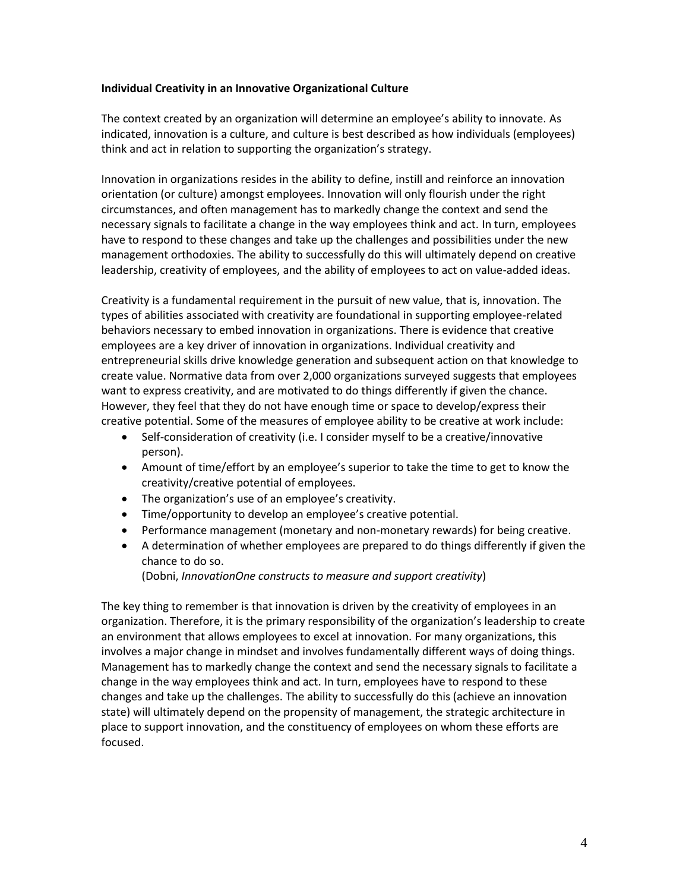#### **Individual Creativity in an Innovative Organizational Culture**

The context created by an organization will determine an employee's ability to innovate. As indicated, innovation is a culture, and culture is best described as how individuals (employees) think and act in relation to supporting the organization's strategy.

Innovation in organizations resides in the ability to define, instill and reinforce an innovation orientation (or culture) amongst employees. Innovation will only flourish under the right circumstances, and often management has to markedly change the context and send the necessary signals to facilitate a change in the way employees think and act. In turn, employees have to respond to these changes and take up the challenges and possibilities under the new management orthodoxies. The ability to successfully do this will ultimately depend on creative leadership, creativity of employees, and the ability of employees to act on value-added ideas.

Creativity is a fundamental requirement in the pursuit of new value, that is, innovation. The types of abilities associated with creativity are foundational in supporting employee-related behaviors necessary to embed innovation in organizations. There is evidence that creative employees are a key driver of innovation in organizations. Individual creativity and entrepreneurial skills drive knowledge generation and subsequent action on that knowledge to create value. Normative data from over 2,000 organizations surveyed suggests that employees want to express creativity, and are motivated to do things differently if given the chance. However, they feel that they do not have enough time or space to develop/express their creative potential. Some of the measures of employee ability to be creative at work include:

- Self-consideration of creativity (i.e. I consider myself to be a creative/innovative person).
- Amount of time/effort by an employee's superior to take the time to get to know the creativity/creative potential of employees.
- The organization's use of an employee's creativity.
- Time/opportunity to develop an employee's creative potential.
- Performance management (monetary and non-monetary rewards) for being creative.
- A determination of whether employees are prepared to do things differently if given the chance to do so.

(Dobni, *InnovationOne constructs to measure and support creativity*)

The key thing to remember is that innovation is driven by the creativity of employees in an organization. Therefore, it is the primary responsibility of the organization's leadership to create an environment that allows employees to excel at innovation. For many organizations, this involves a major change in mindset and involves fundamentally different ways of doing things. Management has to markedly change the context and send the necessary signals to facilitate a change in the way employees think and act. In turn, employees have to respond to these changes and take up the challenges. The ability to successfully do this (achieve an innovation state) will ultimately depend on the propensity of management, the strategic architecture in place to support innovation, and the constituency of employees on whom these efforts are focused.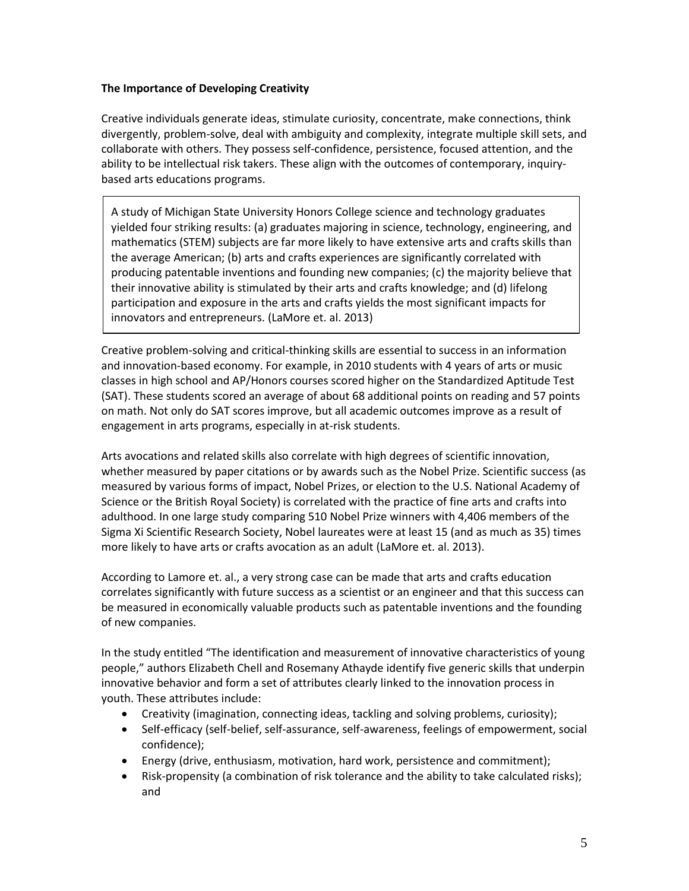#### **The Importance of Developing Creativity**

Creative individuals generate ideas, stimulate curiosity, concentrate, make connections, think divergently, problem-solve, deal with ambiguity and complexity, integrate multiple skill sets, and collaborate with others. They possess self-confidence, persistence, focused attention, and the ability to be intellectual risk takers. These align with the outcomes of contemporary, inquirybased arts educations programs.

A study of Michigan State University Honors College science and technology graduates yielded four striking results: (a) graduates majoring in science, technology, engineering, and mathematics (STEM) subjects are far more likely to have extensive arts and crafts skills than the average American; (b) arts and crafts experiences are significantly correlated with producing patentable inventions and founding new companies; (c) the majority believe that their innovative ability is stimulated by their arts and crafts knowledge; and (d) lifelong participation and exposure in the arts and crafts yields the most significant impacts for innovators and entrepreneurs. (LaMore et. al. 2013)

Creative problem-solving and critical-thinking skills are essential to success in an information and innovation-based economy. For example, in 2010 students with 4 years of arts or music classes in high school and AP/Honors courses scored higher on the Standardized Aptitude Test (SAT). These students scored an average of about 68 additional points on reading and 57 points on math. Not only do SAT scores improve, but all academic outcomes improve as a result of engagement in arts programs, especially in at-risk students.

Arts avocations and related skills also correlate with high degrees of scientific innovation, whether measured by paper citations or by awards such as the Nobel Prize. Scientific success (as measured by various forms of impact, Nobel Prizes, or election to the U.S. National Academy of Science or the British Royal Society) is correlated with the practice of fine arts and crafts into adulthood. In one large study comparing 510 Nobel Prize winners with 4,406 members of the Sigma Xi Scientific Research Society, Nobel laureates were at least 15 (and as much as 35) times more likely to have arts or crafts avocation as an adult (LaMore et. al. 2013).

According to Lamore et. al., a very strong case can be made that arts and crafts education correlates significantly with future success as a scientist or an engineer and that this success can be measured in economically valuable products such as patentable inventions and the founding of new companies.

In the study entitled "The identification and measurement of innovative characteristics of young people," authors Elizabeth Chell and Rosemany Athayde identify five generic skills that underpin innovative behavior and form a set of attributes clearly linked to the innovation process in youth. These attributes include:

- Creativity (imagination, connecting ideas, tackling and solving problems, curiosity);
- Self-efficacy (self-belief, self-assurance, self-awareness, feelings of empowerment, social confidence);
- Energy (drive, enthusiasm, motivation, hard work, persistence and commitment);
- Risk-propensity (a combination of risk tolerance and the ability to take calculated risks); and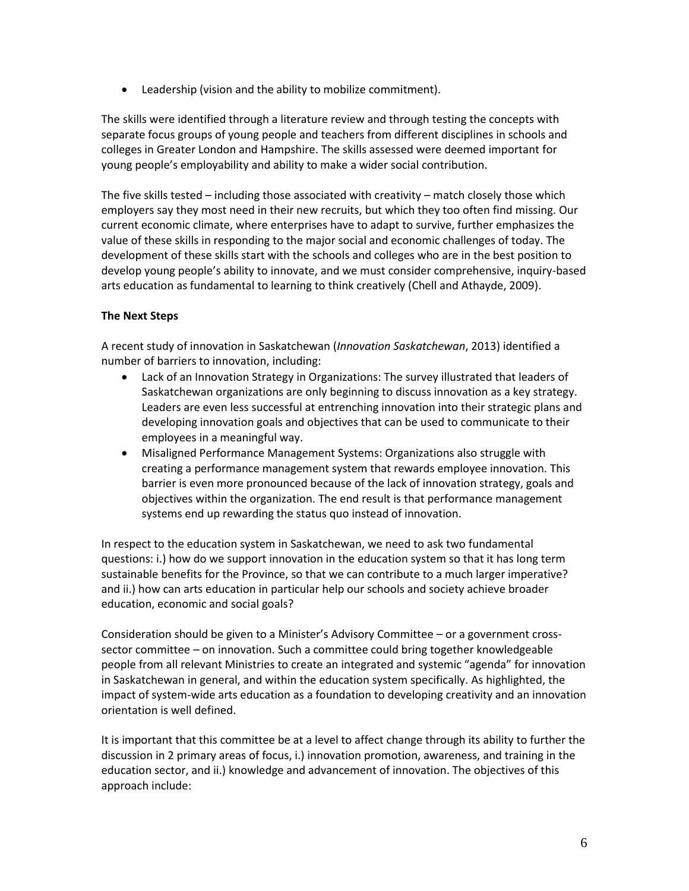Leadership (vision and the ability to mobilize commitment).

The skills were identified through a literature review and through testing the concepts with separate focus groups of young people and teachers from different disciplines in schools and colleges in Greater London and Hampshire. The skills assessed were deemed important for young people's employability and ability to make a wider social contribution.

The five skills tested – including those associated with creativity – match closely those which employers say they most need in their new recruits, but which they too often find missing. Our current economic climate, where enterprises have to adapt to survive, further emphasizes the value of these skills in responding to the major social and economic challenges of today. The development of these skills start with the schools and colleges who are in the best position to develop young people's ability to innovate, and we must consider comprehensive, inquiry-based arts education as fundamental to learning to think creatively (Chell and Athayde, 2009).

## **The Next Steps**

A recent study of innovation in Saskatchewan (*Innovation Saskatchewan*, 2013) identified a number of barriers to innovation, including:

- Lack of an Innovation Strategy in Organizations: The survey illustrated that leaders of Saskatchewan organizations are only beginning to discuss innovation as a key strategy. Leaders are even less successful at entrenching innovation into their strategic plans and developing innovation goals and objectives that can be used to communicate to their employees in a meaningful way.
- Misaligned Performance Management Systems: Organizations also struggle with creating a performance management system that rewards employee innovation. This barrier is even more pronounced because of the lack of innovation strategy, goals and objectives within the organization. The end result is that performance management systems end up rewarding the status quo instead of innovation.

In respect to the education system in Saskatchewan, we need to ask two fundamental questions: i.) how do we support innovation in the education system so that it has long term sustainable benefits for the Province, so that we can contribute to a much larger imperative? and ii.) how can arts education in particular help our schools and society achieve broader education, economic and social goals?

Consideration should be given to a Minister's Advisory Committee – or a government crosssector committee – on innovation. Such a committee could bring together knowledgeable people from all relevant Ministries to create an integrated and systemic "agenda" for innovation in Saskatchewan in general, and within the education system specifically. As highlighted, the impact of system-wide arts education as a foundation to developing creativity and an innovation orientation is well defined.

It is important that this committee be at a level to affect change through its ability to further the discussion in 2 primary areas of focus, i.) innovation promotion, awareness, and training in the education sector, and ii.) knowledge and advancement of innovation. The objectives of this approach include: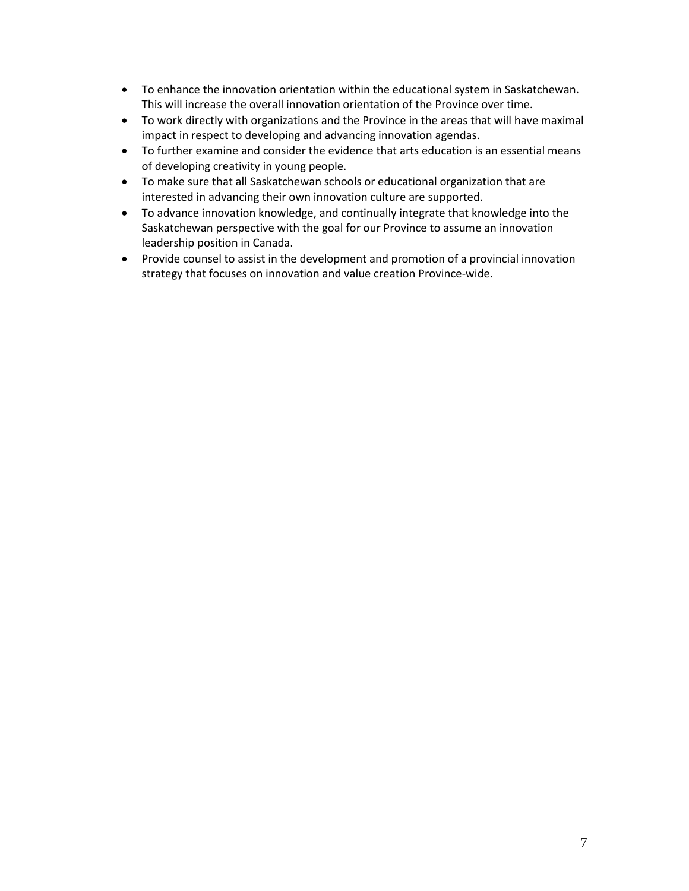- To enhance the innovation orientation within the educational system in Saskatchewan. This will increase the overall innovation orientation of the Province over time.
- To work directly with organizations and the Province in the areas that will have maximal impact in respect to developing and advancing innovation agendas.
- To further examine and consider the evidence that arts education is an essential means of developing creativity in young people.
- To make sure that all Saskatchewan schools or educational organization that are interested in advancing their own innovation culture are supported.
- To advance innovation knowledge, and continually integrate that knowledge into the Saskatchewan perspective with the goal for our Province to assume an innovation leadership position in Canada.
- Provide counsel to assist in the development and promotion of a provincial innovation strategy that focuses on innovation and value creation Province-wide.